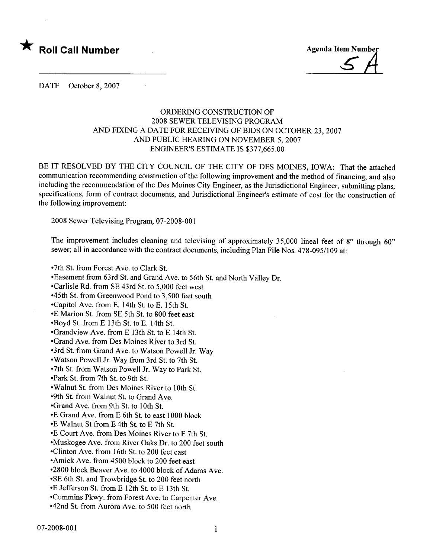



DATE October 8, 2007

## ORDERING CONSTRUCTION OF 2008 SEWER TELEVISING PROGRAM AND FIXING A DATE FOR RECEIVING OF BIDS ON OCTOBER 23, 2007 AND PUBLIC HEARING ON NOVEMBER 5, 2007 ENGINEER'S ESTIMATE IS \$377,665.00

BE IT RESOLVED BY THE CITY COUNCIL OF THE CITY OF DES MOINES, IOWA: That the attached communication recommending construction of the following improvement and the method of financing; and also including the recommendation of the Des Moines City Engineer, as the Jurisdictional Engineer, submitting plans, specifications, form of contract documents, and Jurisdictional Engineer's estimate of cost for the construction of the following improvement:

2008 Sewer Televising Program, 07-2008-001

The improvement includes cleaning and televising of approximately 35,000 lineal feet of 8" through 60" sewer; all in accordance with the contract documents, including Plan File Nos. 478-095/109 at:

-7th St. from Forest Ave. to Clark St.

-Easement from 63rd St. and Grand Ave. to 56th St. and North Valley Dr.

-Carlisle Rd. from SE 43rd St. to 5,000 feet west

-45th St. from Greenwood Pond to 3,500 feet south

-Capitol Ave. from E. 14th St. to E. 15th St.

-E Marion St. from SE 5th St. to 800 feet east

-Boyd St. from E 13th St. to E. 14th St.

-Grandview Ave. from E 13th St. to E 14th St.

-Grand Ave. from Des Moines River to 3rd St.

-3rd St. from Grand Ave. to Watson Powell Jr. Way

-Watson Powell Jr. Way from 3rd St. to 7th St.

-7th St. from Watson Powell Jr. Way to Park St.

-Park St. from 7th St. to 9th St.

- Walnut St. from Des Moines River to 10th St.

-9th St. from Walnut St. to Grand Ave.

-Grand Ave. from 9th St. to 10th St.

-E Grand Ave. from E 6th St. to east 1000 block

-E Walnut St from E 4th St. to E 7th St.

-E Court Ave. from Des Moines River to E 7th St.

-Muskogee Ave. from River Oaks Dr. to 200 feet south

-Clinton Ave. from 16th St. to 200 feet east

-Amick Ave. from 4500 block to 200 feet east

-2800 block Beaver Ave. to 4000 block of Adams Ave.

-SE 6th St. and Trowbridge St. to 200 feet north

-E Jefferson St. from E 12th St. to E 13th St.

-Cummins Pkwy. from Forest Ave. to Carpenter Ave.

-42nd St. from Aurora Ave. to 500 feet north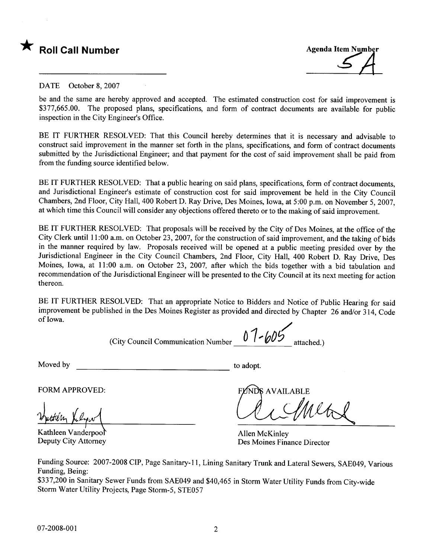



DATE October 8, 2007

be and the same are hereby approved and accepted. The estimated construction cost for said improvement is \$377,665.00. The proposed plans, specifications, and form of contract documents are available for public inspection in the City Engineer's Office.

BE IT FURTHER RESOLVED: That this Council hereby determines that it is necessary and advisable to construct said improvement in the manner set forth in the plans, specifications, and form of contract documents submitted by the Jurisdictional Engineer; and that payment for the cost of said improvement shall be paid from from the funding source identified below.

BE IT FURTHER RESOLVED: That a public hearing on said plans, specifications, form of contract documents, and Jurisdictional Engineer's estimate of construction cost for said improvement be held in the City Council Chambers, 2nd Floor, City Hall, 400 Robert D. Ray Drive, Des Moines, Iowa, at 5:00 p.m. on November 5, 2007, at which time this Council will consider any objections offered thereto or to the making of said improvement.

BE IT FURTHER RESOLVED: That proposals will be received by the City of Des Moines, at the office of the City Clerk until 11 :00 a.m. on October 23, 2007, for the construction of said improvement, and the taking of bids in the manner required by law. Proposals received will be opened at a public meeting presided over by the Jurisdictional Engineer in the City Council Chambers, 2nd Floor, City Hall, 400 Robert D. Ray Drive, Des Moines, Iowa, at 11:00 a.m. on October 23, 2007, after which the bids together with a bid tabulation and recommendation of the Jurisdictional Engineer will be presented to the City Council at its next meeting for action thereon.

BE IT FURTHER RESOLVED: That an appropriate Notice to Bidders and Notice of Public Hearing for said improvement be published in the Des Moines Register as provided and directed by Chapter 26 and/or 314, Code of Iowa. d N<br>ted<br>2

(City Council Communication Number  $07 - 605$  attached.)

Moved by to adopt.

Wuttery Kelyw

Kathleen Vanderpool Deputy City Attorney

FORM APPROVED:<br>Duttin Kelow

Allen McKinley Des Moines Finance Director

Funding Source: 2007-2008 CIP, Page Sanitary-II, Lining Sanitary Trunk and Lateral Sewers, SAE049, Various Funding, Being:

\$337,200 in Sanitary Sewer Funds from SAE049 and \$40,465 in Storm Water Utility Funds from City-wide Storm Water Utility Projects, Page Storm-5, STE057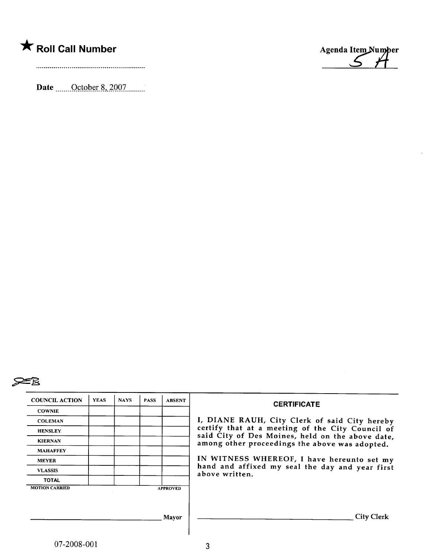Date <u>\_\_\_\_\_October 8, 2007</u>



 $\bar{r}$ 



| <b>COUNCIL ACTION</b> | <b>YEAS</b> | <b>NAYS</b> | <b>PASS</b> | <b>ABSENT</b>   | <b>CERTIFICATE</b>                                                                                 |  |  |  |  |  |
|-----------------------|-------------|-------------|-------------|-----------------|----------------------------------------------------------------------------------------------------|--|--|--|--|--|
| <b>COWNIE</b>         |             |             |             |                 |                                                                                                    |  |  |  |  |  |
| <b>COLEMAN</b>        |             |             |             |                 | I, DIANE RAUH, City Clerk of said City hereby                                                      |  |  |  |  |  |
| <b>HENSLEY</b>        |             |             |             |                 | certify that at a meeting of the City Council of                                                   |  |  |  |  |  |
| <b>KIERNAN</b>        |             |             |             |                 | said City of Des Moines, held on the above date,<br>among other proceedings the above was adopted. |  |  |  |  |  |
| <b>MAHAFFEY</b>       |             |             |             |                 |                                                                                                    |  |  |  |  |  |
| <b>MEYER</b>          |             |             |             |                 | IN WITNESS WHEREOF, I have hereunto set my                                                         |  |  |  |  |  |
| <b>VLASSIS</b>        |             |             |             |                 | hand and affixed my seal the day and year first<br>above written.                                  |  |  |  |  |  |
| <b>TOTAL</b>          |             |             |             |                 |                                                                                                    |  |  |  |  |  |
| <b>MOTION CARRIED</b> |             |             |             | <b>APPROVED</b> |                                                                                                    |  |  |  |  |  |
|                       |             |             |             |                 |                                                                                                    |  |  |  |  |  |
|                       |             |             |             |                 |                                                                                                    |  |  |  |  |  |
|                       |             |             |             | Mayor           | <b>City Clerk</b>                                                                                  |  |  |  |  |  |